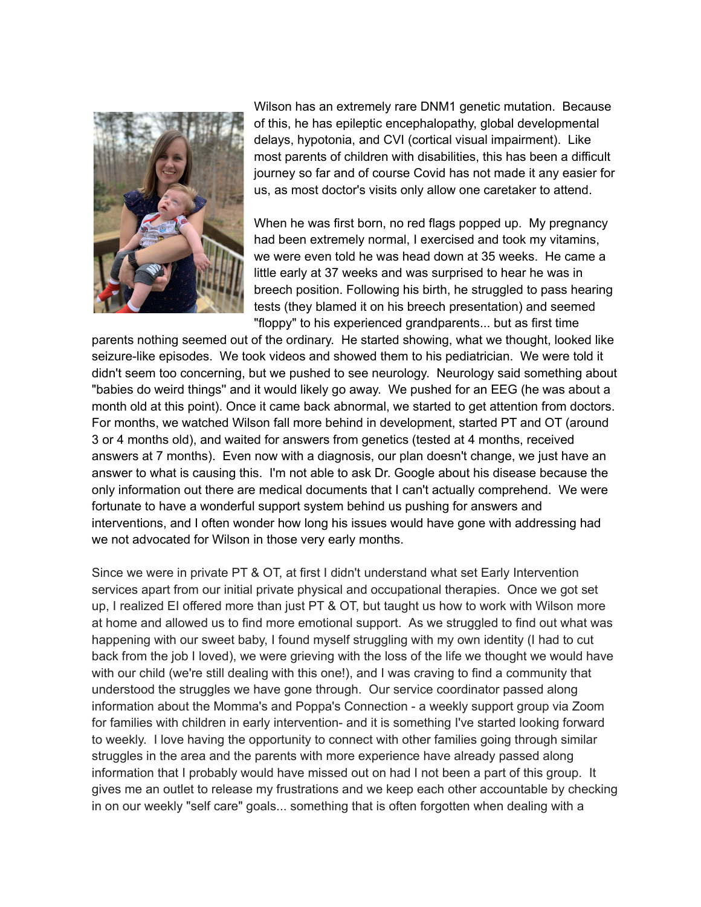

Wilson has an extremely rare DNM1 genetic mutation. Because of this, he has epileptic encephalopathy, global developmental delays, hypotonia, and CVI (cortical visual impairment). Like most parents of children with disabilities, this has been a difficult journey so far and of course Covid has not made it any easier for us, as most doctor's visits only allow one caretaker to attend.

When he was first born, no red flags popped up. My pregnancy had been extremely normal, I exercised and took my vitamins, we were even told he was head down at 35 weeks. He came a little early at 37 weeks and was surprised to hear he was in breech position. Following his birth, he struggled to pass hearing tests (they blamed it on his breech presentation) and seemed "floppy" to his experienced grandparents... but as first time

parents nothing seemed out of the ordinary. He started showing, what we thought, looked like seizure-like episodes. We took videos and showed them to his pediatrician. We were told it didn't seem too concerning, but we pushed to see neurology. Neurology said something about "babies do weird things'' and it would likely go away. We pushed for an EEG (he was about a month old at this point). Once it came back abnormal, we started to get attention from doctors. For months, we watched Wilson fall more behind in development, started PT and OT (around 3 or 4 months old), and waited for answers from genetics (tested at 4 months, received answers at 7 months). Even now with a diagnosis, our plan doesn't change, we just have an answer to what is causing this. I'm not able to ask Dr. Google about his disease because the only information out there are medical documents that I can't actually comprehend. We were fortunate to have a wonderful support system behind us pushing for answers and interventions, and I often wonder how long his issues would have gone with addressing had we not advocated for Wilson in those very early months.

Since we were in private PT & OT, at first I didn't understand what set Early Intervention services apart from our initial private physical and occupational therapies. Once we got set up, I realized EI offered more than just PT & OT, but taught us how to work with Wilson more at home and allowed us to find more emotional support. As we struggled to find out what was happening with our sweet baby, I found myself struggling with my own identity (I had to cut back from the job I loved), we were grieving with the loss of the life we thought we would have with our child (we're still dealing with this one!), and I was craving to find a community that understood the struggles we have gone through. Our service coordinator passed along information about the Momma's and Poppa's Connection - a weekly support group via Zoom for families with children in early intervention- and it is something I've started looking forward to weekly. I love having the opportunity to connect with other families going through similar struggles in the area and the parents with more experience have already passed along information that I probably would have missed out on had I not been a part of this group. It gives me an outlet to release my frustrations and we keep each other accountable by checking in on our weekly "self care" goals... something that is often forgotten when dealing with a